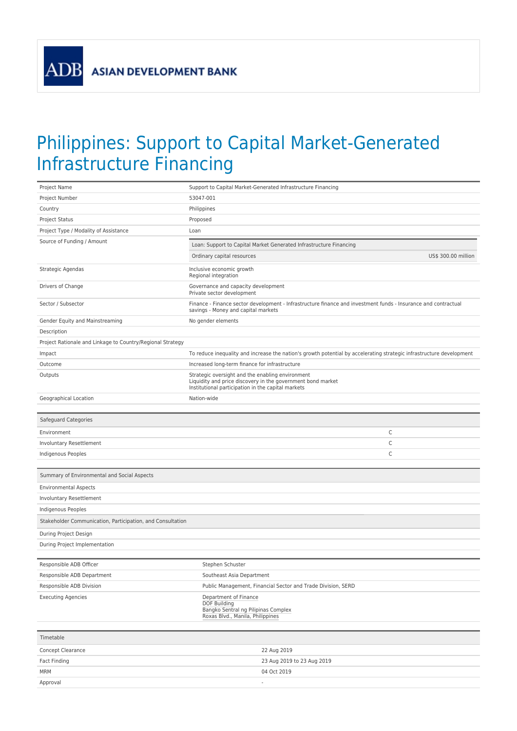**ADB** 

## Philippines: Support to Capital Market-Generated Infrastructure Financing

| Project Name                                               | Support to Capital Market-Generated Infrastructure Financing                                                                                                          |                     |
|------------------------------------------------------------|-----------------------------------------------------------------------------------------------------------------------------------------------------------------------|---------------------|
| Project Number                                             | 53047-001                                                                                                                                                             |                     |
| Country                                                    | Philippines                                                                                                                                                           |                     |
| Project Status                                             | Proposed                                                                                                                                                              |                     |
| Project Type / Modality of Assistance                      | Loan                                                                                                                                                                  |                     |
| Source of Funding / Amount                                 | Loan: Support to Capital Market Generated Infrastructure Financing                                                                                                    |                     |
|                                                            | Ordinary capital resources                                                                                                                                            | US\$ 300.00 million |
|                                                            |                                                                                                                                                                       |                     |
| Strategic Agendas                                          | Inclusive economic growth<br>Regional integration                                                                                                                     |                     |
| Drivers of Change                                          | Governance and capacity development<br>Private sector development                                                                                                     |                     |
| Sector / Subsector                                         | Finance - Finance sector development - Infrastructure finance and investment funds - Insurance and contractual<br>savings - Money and capital markets                 |                     |
| Gender Equity and Mainstreaming                            | No gender elements                                                                                                                                                    |                     |
| Description                                                |                                                                                                                                                                       |                     |
| Project Rationale and Linkage to Country/Regional Strategy |                                                                                                                                                                       |                     |
| Impact                                                     | To reduce inequality and increase the nation's growth potential by accelerating strategic infrastructure development                                                  |                     |
| Outcome                                                    | Increased long-term finance for infrastructure                                                                                                                        |                     |
| Outputs                                                    | Strategic oversight and the enabling environment<br>Liquidity and price discovery in the government bond market<br>Institutional participation in the capital markets |                     |
| Geographical Location                                      | Nation-wide                                                                                                                                                           |                     |
|                                                            |                                                                                                                                                                       |                     |
| Safeguard Categories                                       |                                                                                                                                                                       |                     |
| Environment                                                |                                                                                                                                                                       | C                   |
| Involuntary Resettlement                                   |                                                                                                                                                                       | С                   |
| Indigenous Peoples                                         |                                                                                                                                                                       | С                   |
|                                                            |                                                                                                                                                                       |                     |
| Summary of Environmental and Social Aspects                |                                                                                                                                                                       |                     |
| <b>Environmental Aspects</b>                               |                                                                                                                                                                       |                     |
| Involuntary Resettlement                                   |                                                                                                                                                                       |                     |
| Indigenous Peoples                                         |                                                                                                                                                                       |                     |
| Stakeholder Communication, Participation, and Consultation |                                                                                                                                                                       |                     |
| During Project Design                                      |                                                                                                                                                                       |                     |
| During Project Implementation                              |                                                                                                                                                                       |                     |
|                                                            |                                                                                                                                                                       |                     |
| Responsible ADB Officer                                    | Stephen Schuster                                                                                                                                                      |                     |
| Responsible ADB Department                                 | Southeast Asia Department                                                                                                                                             |                     |
| Responsible ADB Division                                   | Public Management, Financial Sector and Trade Division, SERD                                                                                                          |                     |
| <b>Executing Agencies</b>                                  | Department of Finance<br><b>DOF Building</b><br>Bangko Sentral ng Pilipinas Complex<br>Roxas Blvd., Manila, Philippines                                               |                     |
| Timetable                                                  |                                                                                                                                                                       |                     |
|                                                            |                                                                                                                                                                       |                     |
| Concept Clearance                                          | 22 Aug 2019                                                                                                                                                           |                     |
| Fact Finding<br>MRM                                        | 23 Aug 2019 to 23 Aug 2019<br>04 Oct 2019                                                                                                                             |                     |
| Approval                                                   | $\frac{1}{2}$                                                                                                                                                         |                     |
|                                                            |                                                                                                                                                                       |                     |